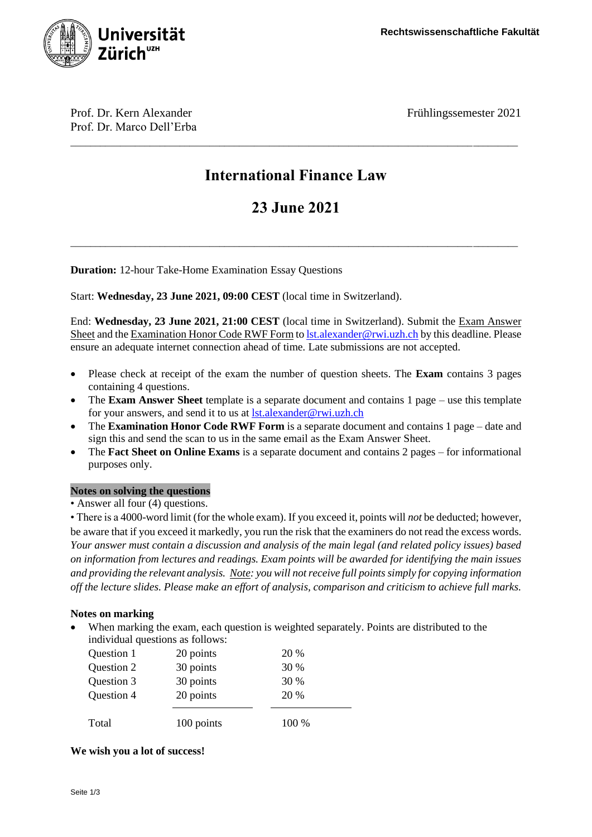

Prof. Dr. Kern Alexander Frühlingssemester 2021 Prof. Dr. Marco Dell'Erba

# **International Finance Law**

\_\_\_\_\_\_\_\_\_\_\_\_\_\_\_\_\_\_\_\_\_\_\_\_\_\_\_\_\_\_\_\_\_\_\_\_\_\_\_\_\_\_\_\_\_\_\_\_\_\_\_\_\_\_\_\_\_\_\_\_\_\_\_\_\_\_\_\_\_\_\_\_\_\_\_\_\_\_\_\_\_\_\_\_\_\_\_\_\_\_

# **23 June 2021**

\_\_\_\_\_\_\_\_\_\_\_\_\_\_\_\_\_\_\_\_\_\_\_\_\_\_\_\_\_\_\_\_\_\_\_\_\_\_\_\_\_\_\_\_\_\_\_\_\_\_\_\_\_\_\_\_\_\_\_\_\_\_\_\_\_\_\_\_\_\_\_\_\_\_\_\_\_\_\_\_\_\_\_\_\_\_\_\_\_\_

**Duration:** 12-hour Take-Home Examination Essay Questions

Start: **Wednesday, 23 June 2021, 09:00 CEST** (local time in Switzerland).

End: **Wednesday, 23 June 2021, 21:00 CEST** (local time in Switzerland). Submit the Exam Answer Sheet and the Examination Honor Code RWF Form t[o lst.alexander@rwi.uzh.ch](mailto:lst.alexander@rwi.uzh.ch) by this deadline. Please ensure an adequate internet connection ahead of time. Late submissions are not accepted.

- Please check at receipt of the exam the number of question sheets. The **Exam** contains 3 pages containing 4 questions.
- The **Exam Answer Sheet** template is a separate document and contains 1 page use this template for your answers, and send it to us at [lst.alexander@rwi.uzh.ch](mailto:lst.alexander@rwi.uzh.ch)
- The **Examination Honor Code RWF Form** is a separate document and contains 1 page date and sign this and send the scan to us in the same email as the Exam Answer Sheet.
- The **Fact Sheet on Online Exams** is a separate document and contains 2 pages for informational purposes only.

### **Notes on solving the questions**

• Answer all four (4) questions.

• There is a 4000-word limit (for the whole exam). If you exceed it, points will *not* be deducted; however, be aware that if you exceed it markedly, you run the risk that the examiners do not read the excess words. *Your answer must contain a discussion and analysis of the main legal (and related policy issues) based on information from lectures and readings. Exam points will be awarded for identifying the main issues and providing the relevant analysis. Note: you will not receive full points simply for copying information off the lecture slides. Please make an effort of analysis, comparison and criticism to achieve full marks.*

### **Notes on marking**

 When marking the exam, each question is weighted separately. Points are distributed to the individual questions as follows:

| Total      | 100 points | 100 % |
|------------|------------|-------|
| Question 4 | 20 points  | 20 %  |
| Question 3 | 30 points  | 30 %  |
| Question 2 | 30 points  | 30 %  |
| Question 1 | 20 points  | 20 %  |
|            |            |       |

#### **We wish you a lot of success!**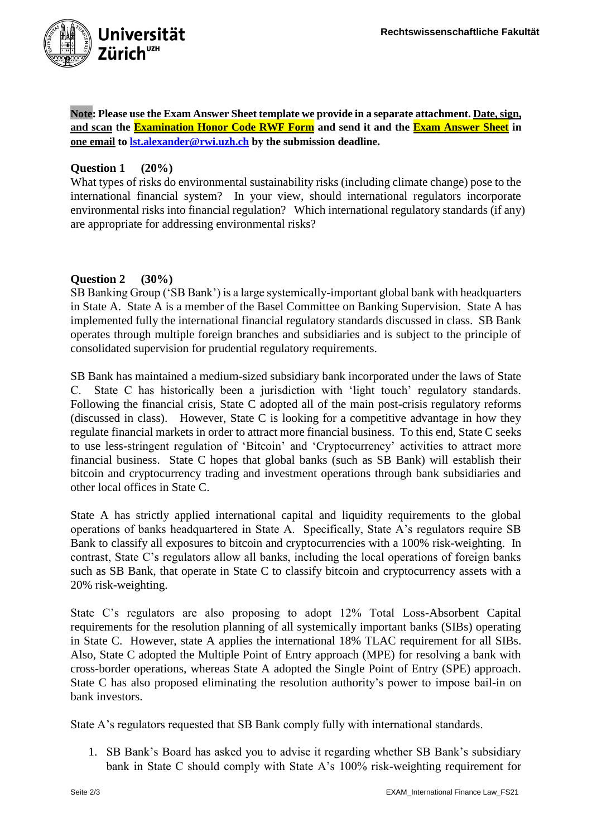

**Note: Please use the Exam Answer Sheet template we provide in a separate attachment. Date, sign, and scan the Examination Honor Code RWF Form and send it and the Exam Answer Sheet in one email to [lst.alexander@rwi.uzh.ch](mailto:lst.alexander@rwi.uzh.ch) by the submission deadline.**

## **Question 1 (20%)**

What types of risks do environmental sustainability risks (including climate change) pose to the international financial system? In your view, should international regulators incorporate environmental risks into financial regulation? Which international regulatory standards (if any) are appropriate for addressing environmental risks?

## **Question 2 (30%)**

SB Banking Group ('SB Bank') is a large systemically-important global bank with headquarters in State A. State A is a member of the Basel Committee on Banking Supervision. State A has implemented fully the international financial regulatory standards discussed in class. SB Bank operates through multiple foreign branches and subsidiaries and is subject to the principle of consolidated supervision for prudential regulatory requirements.

SB Bank has maintained a medium-sized subsidiary bank incorporated under the laws of State C. State C has historically been a jurisdiction with 'light touch' regulatory standards. Following the financial crisis, State C adopted all of the main post-crisis regulatory reforms (discussed in class). However, State C is looking for a competitive advantage in how they regulate financial markets in order to attract more financial business. To this end, State C seeks to use less-stringent regulation of 'Bitcoin' and 'Cryptocurrency' activities to attract more financial business. State C hopes that global banks (such as SB Bank) will establish their bitcoin and cryptocurrency trading and investment operations through bank subsidiaries and other local offices in State C.

State A has strictly applied international capital and liquidity requirements to the global operations of banks headquartered in State A. Specifically, State A's regulators require SB Bank to classify all exposures to bitcoin and cryptocurrencies with a 100% risk-weighting. In contrast, State C's regulators allow all banks, including the local operations of foreign banks such as SB Bank, that operate in State C to classify bitcoin and cryptocurrency assets with a 20% risk-weighting.

State C's regulators are also proposing to adopt 12% Total Loss-Absorbent Capital requirements for the resolution planning of all systemically important banks (SIBs) operating in State C. However, state A applies the international 18% TLAC requirement for all SIBs. Also, State C adopted the Multiple Point of Entry approach (MPE) for resolving a bank with cross-border operations, whereas State A adopted the Single Point of Entry (SPE) approach. State C has also proposed eliminating the resolution authority's power to impose bail-in on bank investors.

State A's regulators requested that SB Bank comply fully with international standards.

1. SB Bank's Board has asked you to advise it regarding whether SB Bank's subsidiary bank in State C should comply with State A's 100% risk-weighting requirement for